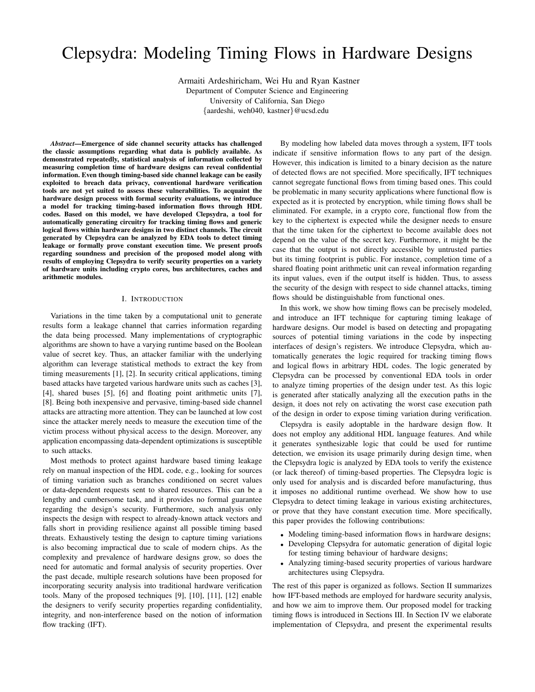# Clepsydra: Modeling Timing Flows in Hardware Designs

Armaiti Ardeshiricham, Wei Hu and Ryan Kastner Department of Computer Science and Engineering University of California, San Diego {aardeshi, weh040, kastner}@ucsd.edu

*Abstract*—Emergence of side channel security attacks has challenged the classic assumptions regarding what data is publicly available. As demonstrated repeatedly, statistical analysis of information collected by measuring completion time of hardware designs can reveal confidential information. Even though timing-based side channel leakage can be easily exploited to breach data privacy, conventional hardware verification tools are not yet suited to assess these vulnerabilities. To acquaint the hardware design process with formal security evaluations, we introduce a model for tracking timing-based information flows through HDL codes. Based on this model, we have developed Clepsydra, a tool for automatically generating circuitry for tracking timing flows and generic logical flows within hardware designs in two distinct channels. The circuit generated by Clepsydra can be analyzed by EDA tools to detect timing leakage or formally prove constant execution time. We present proofs regarding soundness and precision of the proposed model along with results of employing Clepsydra to verify security properties on a variety of hardware units including crypto cores, bus architectures, caches and arithmetic modules.

## I. INTRODUCTION

Variations in the time taken by a computational unit to generate results form a leakage channel that carries information regarding the data being processed. Many implementations of cryptographic algorithms are shown to have a varying runtime based on the Boolean value of secret key. Thus, an attacker familiar with the underlying algorithm can leverage statistical methods to extract the key from timing measurements [1], [2]. In security critical applications, timing based attacks have targeted various hardware units such as caches [3], [4], shared buses [5], [6] and floating point arithmetic units [7], [8]. Being both inexpensive and pervasive, timing-based side channel attacks are attracting more attention. They can be launched at low cost since the attacker merely needs to measure the execution time of the victim process without physical access to the design. Moreover, any application encompassing data-dependent optimizations is susceptible to such attacks.

Most methods to protect against hardware based timing leakage rely on manual inspection of the HDL code, e.g., looking for sources of timing variation such as branches conditioned on secret values or data-dependent requests sent to shared resources. This can be a lengthy and cumbersome task, and it provides no formal guarantee regarding the design's security. Furthermore, such analysis only inspects the design with respect to already-known attack vectors and falls short in providing resilience against all possible timing based threats. Exhaustively testing the design to capture timing variations is also becoming impractical due to scale of modern chips. As the complexity and prevalence of hardware designs grow, so does the need for automatic and formal analysis of security properties. Over the past decade, multiple research solutions have been proposed for incorporating security analysis into traditional hardware verification tools. Many of the proposed techniques [9], [10], [11], [12] enable the designers to verify security properties regarding confidentiality, integrity, and non-interference based on the notion of information flow tracking (IFT).

By modeling how labeled data moves through a system, IFT tools indicate if sensitive information flows to any part of the design. However, this indication is limited to a binary decision as the nature of detected flows are not specified. More specifically, IFT techniques cannot segregate functional flows from timing based ones. This could be problematic in many security applications where functional flow is expected as it is protected by encryption, while timing flows shall be eliminated. For example, in a crypto core, functional flow from the key to the ciphertext is expected while the designer needs to ensure that the time taken for the ciphertext to become available does not depend on the value of the secret key. Furthermore, it might be the case that the output is not directly accessible by untrusted parties but its timing footprint is public. For instance, completion time of a shared floating point arithmetic unit can reveal information regarding its input values, even if the output itself is hidden. Thus, to assess the security of the design with respect to side channel attacks, timing flows should be distinguishable from functional ones.

In this work, we show how timing flows can be precisely modeled, and introduce an IFT technique for capturing timing leakage of hardware designs. Our model is based on detecting and propagating sources of potential timing variations in the code by inspecting interfaces of design's registers. We introduce Clepsydra, which automatically generates the logic required for tracking timing flows and logical flows in arbitrary HDL codes. The logic generated by Clepsydra can be processed by conventional EDA tools in order to analyze timing properties of the design under test. As this logic is generated after statically analyzing all the execution paths in the design, it does not rely on activating the worst case execution path of the design in order to expose timing variation during verification.

Clepsydra is easily adoptable in the hardware design flow. It does not employ any additional HDL language features. And while it generates synthesizable logic that could be used for runtime detection, we envision its usage primarily during design time, when the Clepsydra logic is analyzed by EDA tools to verify the existence (or lack thereof) of timing-based properties. The Clepsydra logic is only used for analysis and is discarded before manufacturing, thus it imposes no additional runtime overhead. We show how to use Clepsydra to detect timing leakage in various existing architectures, or prove that they have constant execution time. More specifically, this paper provides the following contributions:

- Modeling timing-based information flows in hardware designs;
- Developing Clepsydra for automatic generation of digital logic for testing timing behaviour of hardware designs;
- Analyzing timing-based security properties of various hardware architectures using Clepsydra.

The rest of this paper is organized as follows. Section II summarizes how IFT-based methods are employed for hardware security analysis, and how we aim to improve them. Our proposed model for tracking timing flows is introduced in Sections III. In Section IV we elaborate implementation of Clepsydra, and present the experimental results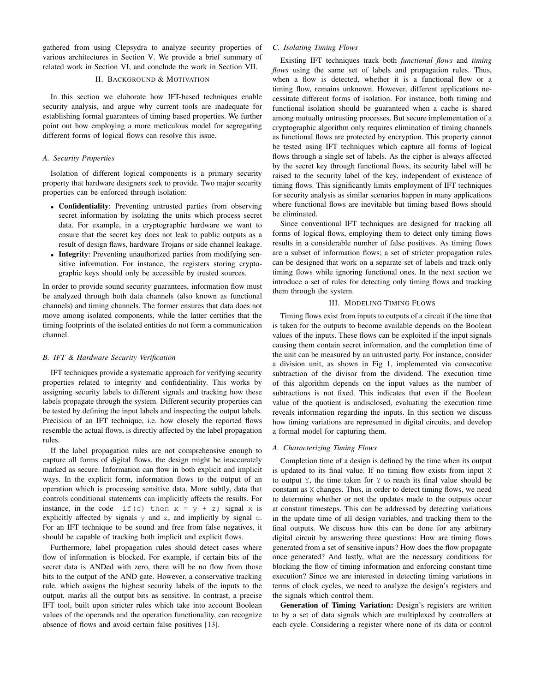gathered from using Clepsydra to analyze security properties of various architectures in Section V. We provide a brief summary of related work in Section VI, and conclude the work in Section VII.

# II. BACKGROUND & MOTIVATION

In this section we elaborate how IFT-based techniques enable security analysis, and argue why current tools are inadequate for establishing formal guarantees of timing based properties. We further point out how employing a more meticulous model for segregating different forms of logical flows can resolve this issue.

# *A. Security Properties*

Isolation of different logical components is a primary security property that hardware designers seek to provide. Two major security properties can be enforced through isolation:

- Confidentiality: Preventing untrusted parties from observing secret information by isolating the units which process secret data. For example, in a cryptographic hardware we want to ensure that the secret key does not leak to public outputs as a result of design flaws, hardware Trojans or side channel leakage.
- Integrity: Preventing unauthorized parties from modifying sensitive information. For instance, the registers storing cryptographic keys should only be accessible by trusted sources.

In order to provide sound security guarantees, information flow must be analyzed through both data channels (also known as functional channels) and timing channels. The former ensures that data does not move among isolated components, while the latter certifies that the timing footprints of the isolated entities do not form a communication channel.

## *B. IFT & Hardware Security Verification*

IFT techniques provide a systematic approach for verifying security properties related to integrity and confidentiality. This works by assigning security labels to different signals and tracking how these labels propagate through the system. Different security properties can be tested by defining the input labels and inspecting the output labels. Precision of an IFT technique, i.e. how closely the reported flows resemble the actual flows, is directly affected by the label propagation rules.

If the label propagation rules are not comprehensive enough to capture all forms of digital flows, the design might be inaccurately marked as secure. Information can flow in both explicit and implicit ways. In the explicit form, information flows to the output of an operation which is processing sensitive data. More subtly, data that controls conditional statements can implicitly affects the results. For instance, in the code if(c) then  $x = y + z$ ; signal x is explicitly affected by signals  $y$  and  $z$ , and implicitly by signal  $c$ . For an IFT technique to be sound and free from false negatives, it should be capable of tracking both implicit and explicit flows.

Furthermore, label propagation rules should detect cases where flow of information is blocked. For example, if certain bits of the secret data is ANDed with zero, there will be no flow from those bits to the output of the AND gate. However, a conservative tracking rule, which assigns the highest security labels of the inputs to the output, marks all the output bits as sensitive. In contrast, a precise IFT tool, built upon stricter rules which take into account Boolean values of the operands and the operation functionality, can recognize absence of flows and avoid certain false positives [13].

## *C. Isolating Timing Flows*

Existing IFT techniques track both *functional flows* and *timing flows* using the same set of labels and propagation rules. Thus, when a flow is detected, whether it is a functional flow or a timing flow, remains unknown. However, different applications necessitate different forms of isolation. For instance, both timing and functional isolation should be guaranteed when a cache is shared among mutually untrusting processes. But secure implementation of a cryptographic algorithm only requires elimination of timing channels as functional flows are protected by encryption. This property cannot be tested using IFT techniques which capture all forms of logical flows through a single set of labels. As the cipher is always affected by the secret key through functional flows, its security label will be raised to the security label of the key, independent of existence of timing flows. This significantly limits employment of IFT techniques for security analysis as similar scenarios happen in many applications where functional flows are inevitable but timing based flows should be eliminated.

Since conventional IFT techniques are designed for tracking all forms of logical flows, employing them to detect only timing flows results in a considerable number of false positives. As timing flows are a subset of information flows; a set of stricter propagation rules can be designed that work on a separate set of labels and track only timing flows while ignoring functional ones. In the next section we introduce a set of rules for detecting only timing flows and tracking them through the system.

# III. MODELING TIMING FLOWS

Timing flows exist from inputs to outputs of a circuit if the time that is taken for the outputs to become available depends on the Boolean values of the inputs. These flows can be exploited if the input signals causing them contain secret information, and the completion time of the unit can be measured by an untrusted party. For instance, consider a division unit, as shown in Fig 1, implemented via consecutive subtraction of the divisor from the dividend. The execution time of this algorithm depends on the input values as the number of subtractions is not fixed. This indicates that even if the Boolean value of the quotient is undisclosed, evaluating the execution time reveals information regarding the inputs. In this section we discuss how timing variations are represented in digital circuits, and develop a formal model for capturing them.

## *A. Characterizing Timing Flows*

Completion time of a design is defined by the time when its output is updated to its final value. If no timing flow exists from input X to output Y, the time taken for Y to reach its final value should be constant as X changes. Thus, in order to detect timing flows, we need to determine whether or not the updates made to the outputs occur at constant timesteps. This can be addressed by detecting variations in the update time of all design variables, and tracking them to the final outputs. We discuss how this can be done for any arbitrary digital circuit by answering three questions: How are timing flows generated from a set of sensitive inputs? How does the flow propagate once generated? And lastly, what are the necessary conditions for blocking the flow of timing information and enforcing constant time execution? Since we are interested in detecting timing variations in terms of clock cycles, we need to analyze the design's registers and the signals which control them.

Generation of Timing Variation: Design's registers are written to by a set of data signals which are multiplexed by controllers at each cycle. Considering a register where none of its data or control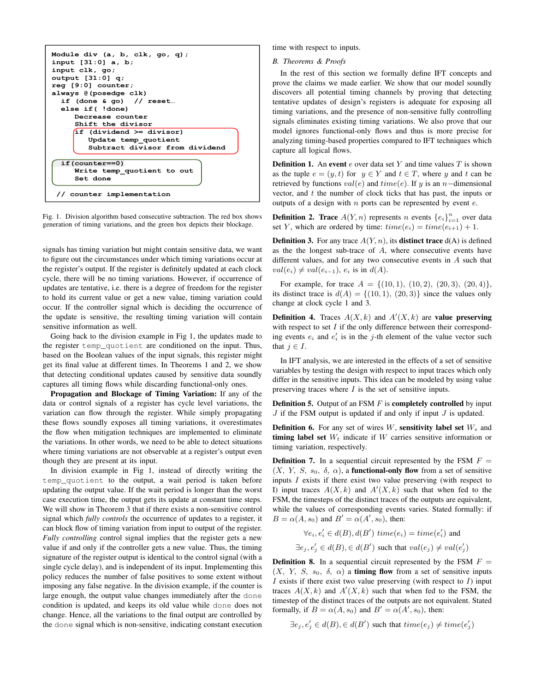

Fig. 1. Division algorithm based consecutive subtraction. The red box shows generation of timing variations, and the green box depicts their blockage.

signals has timing variation but might contain sensitive data, we want to figure out the circumstances under which timing variations occur at the register's output. If the register is definitely updated at each clock cycle, there will be no timing variations. However, if occurrence of updates are tentative, i.e. there is a degree of freedom for the register to hold its current value or get a new value, timing variation could occur. If the controller signal which is deciding the occurrence of the update is sensitive, the resulting timing variation will contain sensitive information as well.

Going back to the division example in Fig 1, the updates made to the register temp\_quotient are conditioned on the input. Thus, based on the Boolean values of the input signals, this register might get its final value at different times. In Theorems 1 and 2, we show that detecting conditional updates caused by sensitive data soundly captures all timing flows while discarding functional-only ones.

Propagation and Blockage of Timing Variation: If any of the data or control signals of a register has cycle level variations, the variation can flow through the register. While simply propagating these flows soundly exposes all timing variations, it overestimates the flow when mitigation techniques are implemented to eliminate the variations. In other words, we need to be able to detect situations where timing variations are not observable at a register's output even though they are present at its input.

In division example in Fig 1, instead of directly writing the temp\_quotient to the output, a wait period is taken before updating the output value. If the wait period is longer than the worst case execution time, the output gets its update at constant time steps. We will show in Theorem 3 that if there exists a non-sensitive control signal which *fully controls* the occurrence of updates to a register, it can block flow of timing variation from input to output of the register. *Fully controlling* control signal implies that the register gets a new value if and only if the controller gets a new value. Thus, the timing signature of the register output is identical to the control signal (with a single cycle delay), and is independent of its input. Implementing this policy reduces the number of false positives to some extent without imposing any false negative. In the division example, if the counter is large enough, the output value changes immediately after the done condition is updated, and keeps its old value while done does not change. Hence, all the variations to the final output are controlled by the done signal which is non-sensitive, indicating constant execution

time with respect to inputs.

## *B. Theorems & Proofs*

In the rest of this section we formally define IFT concepts and prove the claims we made earlier. We show that our model soundly discovers all potential timing channels by proving that detecting tentative updates of design's registers is adequate for exposing all timing variations, and the presence of non-sensitive fully controlling signals eliminates existing timing variations. We also prove that our model ignores functional-only flows and thus is more precise for analyzing timing-based properties compared to IFT techniques which capture all logical flows.

**Definition 1.** An event  $e$  over data set  $Y$  and time values  $T$  is shown as the tuple  $e = (y, t)$  for  $y \in Y$  and  $t \in T$ , where y and t can be retrieved by functions  $val(e)$  and  $time(e)$ . If y is an n-dimensional vector, and  $t$  the number of clock ticks that has past, the inputs or outputs of a design with  $n$  ports can be represented by event  $e$ .

**Definition 2. Trace**  $A(Y, n)$  represents n events  ${e_i}_{i=1}^n$  over data set Y, which are ordered by time:  $time(e_i) = time(e_{i+1}) + 1$ .

**Definition 3.** For any trace  $A(Y, n)$ , its **distinct trace**  $d(A)$  is defined as the the longest sub-trace of A, where consecutive events have different values, and for any two consecutive events in A such that  $val(e_i) \neq val(e_{i-1}), e_i$  is in  $d(A)$ .

For example, for trace  $A = \{(10, 1), (10, 2), (20, 3), (20, 4)\},\$ its distinct trace is  $d(A) = \{(10, 1), (20, 3)\}\$  since the values only change at clock cycle 1 and 3.

**Definition 4.** Traces  $A(X, k)$  and  $A'(X, k)$  are value preserving with respect to set  $I$  if the only difference between their corresponding events  $e_i$  and  $e'_i$  is in the j-th element of the value vector such that  $j \in I$ .

In IFT analysis, we are interested in the effects of a set of sensitive variables by testing the design with respect to input traces which only differ in the sensitive inputs. This idea can be modeled by using value preserving traces where  $I$  is the set of sensitive inputs.

**Definition 5.** Output of an FSM  $F$  is **completely controlled** by input  $J$  if the FSM output is updated if and only if input  $J$  is updated.

**Definition 6.** For any set of wires  $W$ , sensitivity label set  $W_s$  and timing label set  $W_t$  indicate if W carries sensitive information or timing variation, respectively.

**Definition 7.** In a sequential circuit represented by the FSM  $F =$  $(X, Y, S, s_0, \delta, \alpha)$ , a **functional-only flow** from a set of sensitive inputs  $I$  exists if there exist two value preserving (with respect to I) input traces  $A(X, k)$  and  $A'(X, k)$  such that when fed to the FSM, the timesteps of the distinct traces of the outputs are equivalent, while the values of corresponding events varies. Stated formally: if  $B = \alpha(A, s_0)$  and  $B' = \alpha(A', s_0)$ , then:

$$
\forall e_i, e'_i \in d(B), d(B') \ \mathit{time}(e_i) = \mathit{time}(e'_i) \ \text{and}
$$
\n
$$
\exists e_j, e'_j \in d(B), \in d(B') \ \text{such that} \ \mathit{val}(e_j) \neq \mathit{val}(e'_j)
$$

**Definition 8.** In a sequential circuit represented by the FSM  $F =$  $(X, Y, S, s_0, \delta, \alpha)$  a timing flow from a set of sensitive inputs I exists if there exist two value preserving (with respect to  $I$ ) input traces  $A(X, k)$  and  $A'(X, k)$  such that when fed to the FSM, the timestep of the distinct traces of the outputs are not equivalent. Stated formally, if  $B = \alpha(A, s_0)$  and  $B' = \alpha(A', s_0)$ , then:

$$
\exists e_j, e'_j \in d(B), \in d(B') \text{ such that } time(e_j) \neq time(e'_j)
$$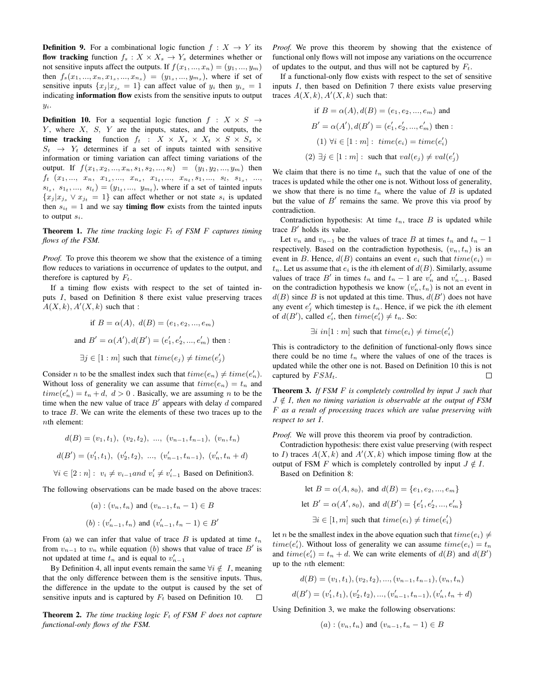**Definition 9.** For a combinational logic function  $f : X \to Y$  its flow tracking function  $f_s: X \times X_s \to Y_s$  determines whether or not sensitive inputs affect the outputs. If  $f(x_1, ..., x_n) = (y_1, ..., y_m)$ then  $f_s(x_1, ..., x_n, x_{1_s}, ..., x_{n_s}) = (y_{1_s}, ..., y_{m_s})$ , where if set of sensitive inputs  $\{x_j | x_{j_s} = 1\}$  can affect value of  $y_i$  then  $y_{i_s} = 1$ indicating information flow exists from the sensitive inputs to output  $y_i$ .

**Definition 10.** For a sequential logic function  $f : X \times S \rightarrow$  $Y$ , where  $X$ ,  $S$ ,  $Y$  are the inputs, states, and the outputs, the time tracking function  $f_t$  :  $X \times X_s \times X_t \times S \times S_s \times$  $S_t \rightarrow Y_t$  determines if a set of inputs tainted with sensitive information or timing variation can affect timing variations of the output. If  $f(x_1, x_2, ..., x_n, s_1, s_2, ..., s_l) = (y_1, y_2, ..., y_m)$  then  $f_t$  ( $x_1, ..., x_n, x_{1_s}, ..., x_{n_s}, x_{1_t}, ..., x_{n_t}, s_1, ..., s_l, s_{1_s}, ...,$  $s_{l_s}$ ,  $s_{1_t}, ..., s_{l_t}$  =  $(y_{1_t}, ..., y_{m_t})$ , where if a set of tainted inputs  ${x_j |x_{j_s} \vee x_{j_t} = 1}$  can affect whether or not state  $s_i$  is updated then  $s_{i_t} = 1$  and we say **timing flow** exists from the tainted inputs to output  $s_i$ .

**Theorem 1.** *The time tracking logic*  $F_t$  *of FSM*  $F$  *captures timing flows of the FSM.*

*Proof.* To prove this theorem we show that the existence of a timing flow reduces to variations in occurrence of updates to the output, and therefore is captured by  $F_t$ .

If a timing flow exists with respect to the set of tainted inputs I, based on Definition 8 there exist value preserving traces  $A(X, k), A'(X, k)$  such that :

if 
$$
B = \alpha(A)
$$
,  $d(B) = (e_1, e_2, ..., e_m)$   
and  $B' = \alpha(A'), d(B') = (e'_1, e'_2, ..., e'_m)$  then :  
 $\exists j \in [1:m]$  such that  $time(e_j) \neq time(e'_j)$ 

Consider *n* to be the smallest index such that  $time(e_n) \neq time(e'_n)$ . Without loss of generality we can assume that  $time(e_n) = t_n$  and  $time(e'_n) = t_n + d, d > 0$ . Basically, we are assuming *n* to be the time when the new value of trace  $B'$  appears with delay  $d$  compared to trace B. We can write the elements of these two traces up to the nth element:

$$
d(B) = (v_1, t_1), (v_2, t_2), \dots, (v_{n-1}, t_{n-1}), (v_n, t_n)
$$

$$
d(B') = (v'_1, t_1), (v'_2, t_2), \dots, (v'_{n-1}, t_{n-1}), (v'_n, t_n + d)
$$

 $\forall i \in [2:n]: v_i \neq v_{i-1}$  and  $v'_i \neq v'_{i-1}$  Based on Definition3.

The following observations can be made based on the above traces:

$$
(a) : (v_n, t_n)
$$
 and  $(v_{n-1}, t_n - 1) \in B$   
 $(b) : (v'_{n-1}, t_n)$  and  $(v'_{n-1}, t_n - 1) \in B'$ 

From (a) we can infer that value of trace B is updated at time  $t_n$ from  $v_{n-1}$  to  $v_n$  while equation (b) shows that value of trace B' is not updated at time  $t_n$  and is equal to  $v'_{n-1}$ 

By Definition 4, all input events remain the same  $\forall i \notin I$ , meaning that the only difference between them is the sensitive inputs. Thus, the difference in the update to the output is caused by the set of sensitive inputs and is captured by  $F_t$  based on Definition 10.  $\Box$ 

**Theorem 2.** *The time tracking logic*  $F_t$  *of FSM*  $F$  *does not capture functional-only flows of the FSM.*

*Proof.* We prove this theorem by showing that the existence of functional only flows will not impose any variations on the occurrence of updates to the output, and thus will not be captured by  $F_t$ .

If a functional-only flow exists with respect to the set of sensitive inputs  $I$ , then based on Definition  $7$  there exists value preserving traces  $A(X, k)$ ,  $A'(X, k)$  such that:

if 
$$
B = \alpha(A), d(B) = (e_1, e_2, ..., e_m)
$$
 and  
\n $B' = \alpha(A'), d(B') = (e'_1, e'_2, ..., e'_m)$  then :  
\n(1)  $\forall i \in [1 : m] : time(e_i) = time(e'_i)$   
\n(2)  $\exists j \in [1 : m] : such that val(e_j) \neq val(e'_j)$ 

We claim that there is no time  $t_n$  such that the value of one of the traces is updated while the other one is not. Without loss of generality, we show that there is no time  $t_n$  where the value of  $B$  is updated but the value of  $B'$  remains the same. We prove this via proof by contradiction.

Contradiction hypothesis: At time  $t_n$ , trace B is updated while trace  $B'$  holds its value.

Let  $v_n$  and  $v_{n-1}$  be the values of trace B at times  $t_n$  and  $t_n - 1$ respectively. Based on the contradiction hypothesis,  $(v_n, t_n)$  is an event in B. Hence,  $d(B)$  contains an event  $e_i$  such that  $time(e_i)$  =  $t_n$ . Let us assume that  $e_i$  is the *i*th element of  $d(B)$ . Similarly, assume values of trace B' in times  $t_n$  and  $t_n - 1$  are  $v'_n$  and  $v'_{n-1}$ . Based on the contradiction hypothesis we know  $(v'_n, t_n)$  is not an event in  $d(B)$  since B is not updated at this time. Thus,  $d(B')$  does not have any event  $e'_{j}$  which timestep is  $t_{n}$ . Hence, if we pick the *i*th element of  $d(B')$ , called  $e'_i$ , then  $time(e'_i) \neq t_n$ . So:

 $\exists i \ in[1:m]$  such that  $time(e_i) \neq time(e'_i)$ 

This is contradictory to the definition of functional-only flows since there could be no time  $t_n$  where the values of one of the traces is updated while the other one is not. Based on Definition 10 this is not captured by  $FSM_t$ .  $\Box$ 

Theorem 3. *If FSM* F *is completely controlled by input* J *such that*  $J \notin I$ , then no timing variation is observable at the output of FSM F *as a result of processing traces which are value preserving with respect to set* I*.*

*Proof.* We will prove this theorem via proof by contradiction.

Contradiction hypothesis: there exist value preserving (with respect to *I*) traces  $A(X, k)$  and  $A'(X, k)$  which impose timing flow at the output of FSM F which is completely controlled by input  $J \notin I$ . Based on Definition 8:

let  $B = \alpha(A, s_0)$ , and  $d(B) = \{e_1, e_2, ..., e_m\}$ 

let 
$$
B' = \alpha(A', s_0)
$$
, and  $d(B') = \{e'_1, e'_2, ..., e'_m\}$   
\n $\exists i \in [1, m]$  such that  $time(e_i) \neq time(e'_i)$ 

let n be the smallest index in the above equation such that  $time(e_i) \neq$  $time(e'_i)$ . Without loss of generality we can assume  $time(e_i) = t_n$ and  $time(e'_i) = t_n + d$ . We can write elements of  $d(B)$  and  $d(B')$ up to the nth element:

$$
d(B) = (v_1, t_1), (v_2, t_2), ..., (v_{n-1}, t_{n-1}), (v_n, t_n)
$$
  

$$
d(B') = (v'_1, t_1), (v'_2, t_2), ..., (v'_{n-1}, t_{n-1}), (v'_n, t_n + d)
$$

Using Definition 3, we make the following observations:

 $(a)$ :  $(v_n, t_n)$  and  $(v_{n-1}, t_n - 1) \in B$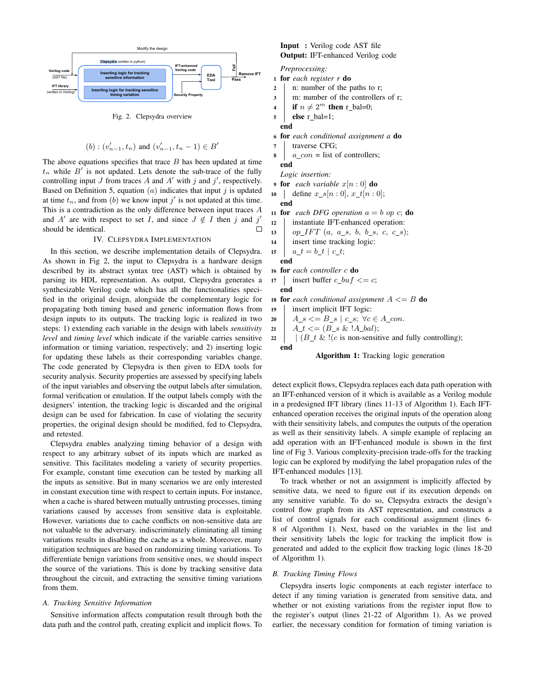

Fig. 2. Clepsydra overview

$$
(b) : (v'_{n-1}, t_n)
$$
 and  $(v'_{n-1}, t_n - 1) \in B'$ 

The above equations specifies that trace  $B$  has been updated at time  $t_n$  while  $B'$  is not updated. Lets denote the sub-trace of the fully controlling input  $J$  from traces  $A$  and  $A'$  with  $j$  and  $j'$ , respectively. Based on Definition 5, equation  $(a)$  indicates that input j is updated at time  $t_n$ , and from  $(b)$  we know input  $j'$  is not updated at this time. This is a contradiction as the only difference between input traces A and A' are with respect to set I, and since  $J \notin I$  then j and j' should be identical.  $\Box$ 

## IV. CLEPSYDRA IMPLEMENTATION

In this section, we describe implementation details of Clepsydra. As shown in Fig 2, the input to Clepsydra is a hardware design described by its abstract syntax tree (AST) which is obtained by parsing its HDL representation. As output, Clepsydra generates a synthesizable Verilog code which has all the functionalities specified in the original design, alongside the complementary logic for propagating both timing based and generic information flows from design inputs to its outputs. The tracking logic is realized in two steps: 1) extending each variable in the design with labels *sensitivity level* and *timing level* which indicate if the variable carries sensitive information or timing variation, respectively; and 2) inserting logic for updating these labels as their corresponding variables change. The code generated by Clepsydra is then given to EDA tools for security analysis. Security properties are assessed by specifying labels of the input variables and observing the output labels after simulation, formal verification or emulation. If the output labels comply with the designers' intention, the tracking logic is discarded and the original design can be used for fabrication. In case of violating the security properties, the original design should be modified, fed to Clepsydra, and retested.

Clepsydra enables analyzing timing behavior of a design with respect to any arbitrary subset of its inputs which are marked as sensitive. This facilitates modeling a variety of security properties. For example, constant time execution can be tested by marking all the inputs as sensitive. But in many scenarios we are only interested in constant execution time with respect to certain inputs. For instance, when a cache is shared between mutually untrusting processes, timing variations caused by accesses from sensitive data is exploitable. However, variations due to cache conflicts on non-sensitive data are not valuable to the adversary. indiscriminately eliminating all timing variations results in disabling the cache as a whole. Moreover, many mitigation techniques are based on randomizing timing variations. To differentiate benign variations from sensitive ones, we should inspect the source of the variations. This is done by tracking sensitive data throughout the circuit, and extracting the sensitive timing variations from them.

#### *A. Tracking Sensitive Information*

Sensitive information affects computation result through both the data path and the control path, creating explicit and implicit flows. To Input : Verilog code AST file Output: IFT-enhanced Verilog code

*Preprocessing:*

```
1 for each register r do
```
- 2 n: number of the paths to r;
- 3 m: number of the controllers of r;

```
4 if n \neq 2^m then r_bal=0;
```

```
5 else r_bal=1;
```

```
end
```
- <sup>6</sup> for *each conditional assignment a* do
- 7 | traverse CFG;
- $\begin{array}{c|c} \textbf{8} & a\_con = \text{list of controllers}; \end{array}$

```
end
```
*Logic insertion:*

```
9 for each variable x[n:0] do
```

```
10 define x_s[n:0], x_t[n:0];end
```

```
11 for each DFG operation a = b op c; do
```
<sup>12</sup> instantiate IFT-enhanced operation:

$$
13 \mid op\_IFT \ (a, \ a\_s, \ b, \ b\_s, \ c, \ c\_s);
$$

<sup>14</sup> insert time tracking logic:

15  $a_t = b_t | c_t;$ end

<sup>16</sup> for *each controller* c do

17 | insert buffer 
$$
c\_buf \leq c
$$
;

end

- 18 **for** each conditional assignment  $A \leq B$  **do**
- <sup>19</sup> insert implicit IFT logic:

$$
20 \mid A_s \leq B_s \mid c_s; \; \forall c \in A\_con.
$$

$$
21 \mid A_t \leq (B_s \& A_b a),
$$

22 |  $\left| \right.$   $(B_t \& \left. \right]$   $(c$  is non-sensitive and fully controlling);

# end

# Algorithm 1: Tracking logic generation

detect explicit flows, Clepsydra replaces each data path operation with an IFT-enhanced version of it which is available as a Verilog module in a predesigned IFT library (lines 11-13 of Algorithm 1). Each IFTenhanced operation receives the original inputs of the operation along with their sensitivity labels, and computes the outputs of the operation as well as their sensitivity labels. A simple example of replacing an add operation with an IFT-enhanced module is shown in the first line of Fig 3. Various complexity-precision trade-offs for the tracking logic can be explored by modifying the label propagation rules of the IFT-enhanced modules [13].

To track whether or not an assignment is implicitly affected by sensitive data, we need to figure out if its execution depends on any sensitive variable. To do so, Clepsydra extracts the design's control flow graph from its AST representation, and constructs a list of control signals for each conditional assignment (lines 6- 8 of Algorithm 1). Next, based on the variables in the list and their sensitivity labels the logic for tracking the implicit flow is generated and added to the explicit flow tracking logic (lines 18-20 of Algorithm 1).

#### *B. Tracking Timing Flows*

Clepsydra inserts logic components at each register interface to detect if any timing variation is generated from sensitive data, and whether or not existing variations from the register input flow to the register's output (lines 21-22 of Algorithm 1). As we proved earlier, the necessary condition for formation of timing variation is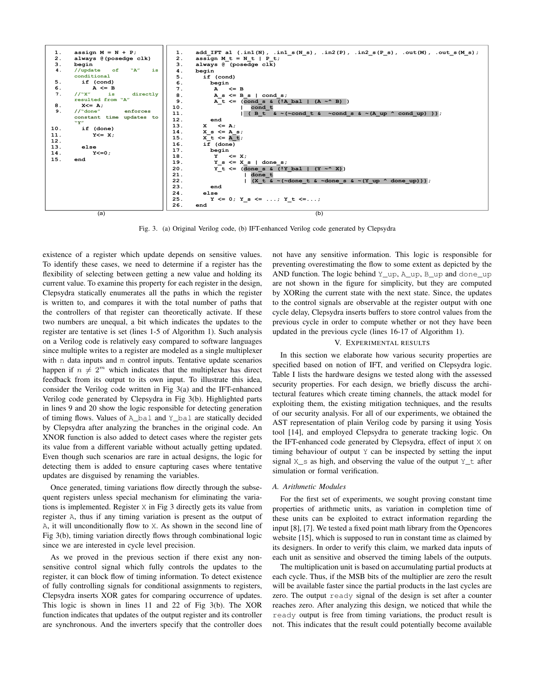

Fig. 3. (a) Original Verilog code, (b) IFT-enhanced Verilog code generated by Clepsydra

existence of a register which update depends on sensitive values. To identify these cases, we need to determine if a register has the flexibility of selecting between getting a new value and holding its current value. To examine this property for each register in the design, Clepsydra statically enumerates all the paths in which the register is written to, and compares it with the total number of paths that the controllers of that register can theoretically activate. If these two numbers are unequal, a bit which indicates the updates to the register are tentative is set (lines 1-5 of Algorithm 1). Such analysis on a Verilog code is relatively easy compared to software languages since multiple writes to a register are modeled as a single multiplexer with n data inputs and m control inputs. Tentative update scenarios happen if  $n \neq 2^m$  which indicates that the multiplexer has direct feedback from its output to its own input. To illustrate this idea, consider the Verilog code written in Fig 3(a) and the IFT-enhanced Verilog code generated by Clepsydra in Fig 3(b). Highlighted parts in lines 9 and 20 show the logic responsible for detecting generation of timing flows. Values of A\_bal and Y\_bal are statically decided by Clepsydra after analyzing the branches in the original code. An XNOR function is also added to detect cases where the register gets its value from a different variable without actually getting updated. Even though such scenarios are rare in actual designs, the logic for detecting them is added to ensure capturing cases where tentative updates are disguised by renaming the variables.

Once generated, timing variations flow directly through the subsequent registers unless special mechanism for eliminating the variations is implemented. Register X in Fig 3 directly gets its value from register A, thus if any timing variation is present as the output of A, it will unconditionally flow to X. As shown in the second line of Fig 3(b), timing variation directly flows through combinational logic since we are interested in cycle level precision.

As we proved in the previous section if there exist any nonsensitive control signal which fully controls the updates to the register, it can block flow of timing information. To detect existence of fully controlling signals for conditional assignments to registers, Clepsydra inserts XOR gates for comparing occurrence of updates. This logic is shown in lines 11 and 22 of Fig 3(b). The XOR function indicates that updates of the output register and its controller are synchronous. And the inverters specify that the controller does not have any sensitive information. This logic is responsible for preventing overestimating the flow to some extent as depicted by the AND function. The logic behind Y\_up, A\_up, B\_up and done\_up are not shown in the figure for simplicity, but they are computed by XORing the current state with the next state. Since, the updates to the control signals are observable at the register output with one cycle delay, Clepsydra inserts buffers to store control values from the previous cycle in order to compute whether or not they have been updated in the previous cycle (lines 16-17 of Algorithm 1).

#### V. EXPERIMENTAL RESULTS

In this section we elaborate how various security properties are specified based on notion of IFT, and verified on Clepsydra logic. Table I lists the hardware designs we tested along with the assessed security properties. For each design, we briefly discuss the architectural features which create timing channels, the attack model for exploiting them, the existing mitigation techniques, and the results of our security analysis. For all of our experiments, we obtained the AST representation of plain Verilog code by parsing it using Yosis tool [14], and employed Clepsydra to generate tracking logic. On the IFT-enhanced code generated by Clepsydra, effect of input X on timing behaviour of output Y can be inspected by setting the input signal  $X_s$  as high, and observing the value of the output  $Y_t$  after simulation or formal verification.

#### *A. Arithmetic Modules*

For the first set of experiments, we sought proving constant time properties of arithmetic units, as variation in completion time of these units can be exploited to extract information regarding the input [8], [7]. We tested a fixed point math library from the Opencores website [15], which is supposed to run in constant time as claimed by its designers. In order to verify this claim, we marked data inputs of each unit as sensitive and observed the timing labels of the outputs.

The multiplication unit is based on accumulating partial products at each cycle. Thus, if the MSB bits of the multiplier are zero the result will be available faster since the partial products in the last cycles are zero. The output ready signal of the design is set after a counter reaches zero. After analyzing this design, we noticed that while the ready output is free from timing variations, the product result is not. This indicates that the result could potentially become available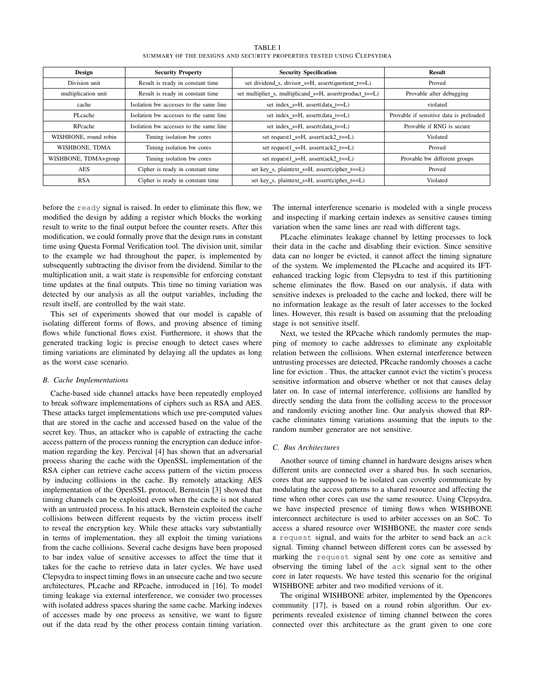TABLE I SUMMARY OF THE DESIGNS AND SECURITY PROPERTIES TESTED USING CLEPSYDRA

| <b>Design</b>         | <b>Security Property</b>               | <b>Security Specification</b>                            | Result                                  |
|-----------------------|----------------------------------------|----------------------------------------------------------|-----------------------------------------|
| Division unit         | Result is ready in constant time       | set dividend s, divisor s=H, assert(quotient $t == L$ )  | Proved                                  |
| multiplication unit   | Result is ready in constant time       | set multiplier_s, multiplicand_s=H, assert(product_t==L) | Provable after debugging                |
| cache                 | Isolation bw accesses to the same line | set index $s=H$ , assert(data $t==L$ )                   | violated                                |
| PL cache              | Isolation bw accesses to the same line | set index $s=H$ , assert(data $t==L$ )                   | Provable if sensitive data is preloaded |
| RPcache               | Isolation bw accesses to the same line | set index $s=H$ , assert(data $t==L$ )                   | Provable if RNG is secure               |
| WISHBONE, round robin | Timing isolation bw cores              | set request1_s=H, assert( $ack2_t == L$ )                | Violated                                |
| WISHBONE, TDMA        | Timing isolation bw cores              | set request1_s=H, assert( $ack2_t == L$ )                | Proved                                  |
| WISHBONE, TDMA+group  | Timing isolation bw cores              | set request1_s=H, assert( $ack2_t == L$ )                | Provable bw different groups            |
| <b>AES</b>            | Cipher is ready in constant time       | set key_s, plaintext_s=H, assert(cipher_t==L)            | Proved                                  |
| <b>RSA</b>            | Cipher is ready in constant time       | set key_s, plaintext_s=H, assert(cipher_t==L)            | Violated                                |

before the ready signal is raised. In order to eliminate this flow, we modified the design by adding a register which blocks the working result to write to the final output before the counter resets. After this modification, we could formally prove that the design runs in constant time using Questa Formal Verification tool. The division unit, similar to the example we had throughout the paper, is implemented by subsequently subtracting the divisor from the dividend. Similar to the multiplication unit, a wait state is responsible for enforcing constant time updates at the final outputs. This time no timing variation was detected by our analysis as all the output variables, including the result itself, are controlled by the wait state.

This set of experiments showed that our model is capable of isolating different forms of flows, and proving absence of timing flows while functional flows exist. Furthermore, it shows that the generated tracking logic is precise enough to detect cases where timing variations are eliminated by delaying all the updates as long as the worst case scenario.

## *B. Cache Implementations*

Cache-based side channel attacks have been repeatedly employed to break software implementations of ciphers such as RSA and AES. These attacks target implementations which use pre-computed values that are stored in the cache and accessed based on the value of the secret key. Thus, an attacker who is capable of extracting the cache access pattern of the process running the encryption can deduce information regarding the key. Percival [4] has shown that an adversarial process sharing the cache with the OpenSSL implementation of the RSA cipher can retrieve cache access pattern of the victim process by inducing collisions in the cache. By remotely attacking AES implementation of the OpenSSL protocol, Bernstein [3] showed that timing channels can be exploited even when the cache is not shared with an untrusted process. In his attack, Bernstein exploited the cache collisions between different requests by the victim process itself to reveal the encryption key. While these attacks vary substantially in terms of implementation, they all exploit the timing variations from the cache collisions. Several cache designs have been proposed to bar index value of sensitive accesses to affect the time that it takes for the cache to retrieve data in later cycles. We have used Clepsydra to inspect timing flows in an unsecure cache and two secure architectures, PLcache and RPcache, introduced in [16]. To model timing leakage via external interference, we consider two processes with isolated address spaces sharing the same cache. Marking indexes of accesses made by one process as sensitive, we want to figure out if the data read by the other process contain timing variation.

The internal interference scenario is modeled with a single process and inspecting if marking certain indexes as sensitive causes timing variation when the same lines are read with different tags.

PLcache eliminates leakage channel by letting processes to lock their data in the cache and disabling their eviction. Since sensitive data can no longer be evicted, it cannot affect the timing signature of the system. We implemented the PLcache and acquired its IFTenhanced tracking logic from Clepsydra to test if this partitioning scheme eliminates the flow. Based on our analysis, if data with sensitive indexes is preloaded to the cache and locked, there will be no information leakage as the result of later accesses to the locked lines. However, this result is based on assuming that the preloading stage is not sensitive itself.

Next, we tested the RPcache which randomly permutes the mapping of memory to cache addresses to eliminate any exploitable relation between the collisions. When external interference between untrusting processes are detected, PRcache randomly chooses a cache line for eviction . Thus, the attacker cannot evict the victim's process sensitive information and observe whether or not that causes delay later on. In case of internal interference, collisions are handled by directly sending the data from the colliding access to the processor and randomly evicting another line. Our analysis showed that RPcache eliminates timing variations assuming that the inputs to the random number generator are not sensitive.

## *C. Bus Architectures*

Another source of timing channel in hardware designs arises when different units are connected over a shared bus. In such scenarios, cores that are supposed to be isolated can covertly communicate by modulating the access patterns to a shared resource and affecting the time when other cores can use the same resource. Using Clepsydra, we have inspected presence of timing flows when WISHBONE interconnect architecture is used to arbiter accesses on an SoC. To access a shared resource over WISHBONE, the master core sends a request signal, and waits for the arbiter to send back an ack signal. Timing channel between different cores can be assessed by marking the request signal sent by one core as sensitive and observing the timing label of the ack signal sent to the other core in later requests. We have tested this scenario for the original WISHBONE arbiter and two modified versions of it.

The original WISHBONE arbiter, implemented by the Opencores community [17], is based on a round robin algorithm. Our experiments revealed existence of timing channel between the cores connected over this architecture as the grant given to one core